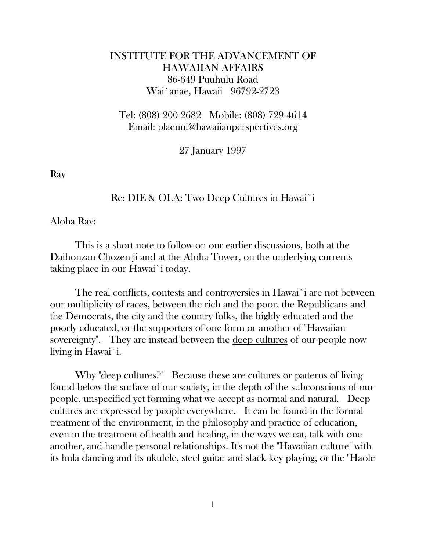## INSTITUTE FOR THE ADVANCEMENT OF HAWAIIAN AFFAIRS 86-649 Puuhulu Road Wai`anae, Hawaii 96792-2723

 Tel: (808) 200-2682 Mobile: (808) 729-4614 Email: plaenui@hawaiianperspectives.org

27 January 1997

Ray

Re: DIE & OLA: Two Deep Cultures in Hawai`i

Aloha Ray:

 This is a short note to follow on our earlier discussions, both at the Daihonzan Chozen-ji and at the Aloha Tower, on the underlying currents taking place in our Hawai`i today.

 The real conflicts, contests and controversies in Hawai`i are not between our multiplicity of races, between the rich and the poor, the Republicans and the Democrats, the city and the country folks, the highly educated and the poorly educated, or the supporters of one form or another of "Hawaiian sovereignty". They are instead between the deep cultures of our people now living in Hawai`i.

 Why "deep cultures?" Because these are cultures or patterns of living found below the surface of our society, in the depth of the subconscious of our people, unspecified yet forming what we accept as normal and natural. Deep cultures are expressed by people everywhere. It can be found in the formal treatment of the environment, in the philosophy and practice of education, even in the treatment of health and healing, in the ways we eat, talk with one another, and handle personal relationships. It's not the "Hawaiian culture" with its hula dancing and its ukulele, steel guitar and slack key playing, or the "Haole

1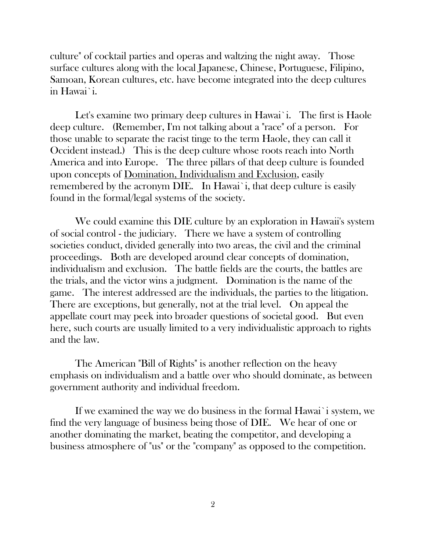culture" of cocktail parties and operas and waltzing the night away. Those surface cultures along with the local Japanese, Chinese, Portuguese, Filipino, Samoan, Korean cultures, etc. have become integrated into the deep cultures in Hawai`i.

Let's examine two primary deep cultures in Hawai`i. The first is Haole deep culture. (Remember, I'm not talking about a "race" of a person. For those unable to separate the racist tinge to the term Haole, they can call it Occident instead.) This is the deep culture whose roots reach into North America and into Europe. The three pillars of that deep culture is founded upon concepts of Domination, Individualism and Exclusion, easily remembered by the acronym DIE. In Hawai`i, that deep culture is easily found in the formal/legal systems of the society.

 We could examine this DIE culture by an exploration in Hawaii's system of social control - the judiciary. There we have a system of controlling societies conduct, divided generally into two areas, the civil and the criminal proceedings. Both are developed around clear concepts of domination, individualism and exclusion. The battle fields are the courts, the battles are the trials, and the victor wins a judgment. Domination is the name of the game. The interest addressed are the individuals, the parties to the litigation. There are exceptions, but generally, not at the trial level. On appeal the appellate court may peek into broader questions of societal good. But even here, such courts are usually limited to a very individualistic approach to rights and the law.

 The American "Bill of Rights" is another reflection on the heavy emphasis on individualism and a battle over who should dominate, as between government authority and individual freedom.

 If we examined the way we do business in the formal Hawai`i system, we find the very language of business being those of DIE. We hear of one or another dominating the market, beating the competitor, and developing a business atmosphere of "us" or the "company" as opposed to the competition.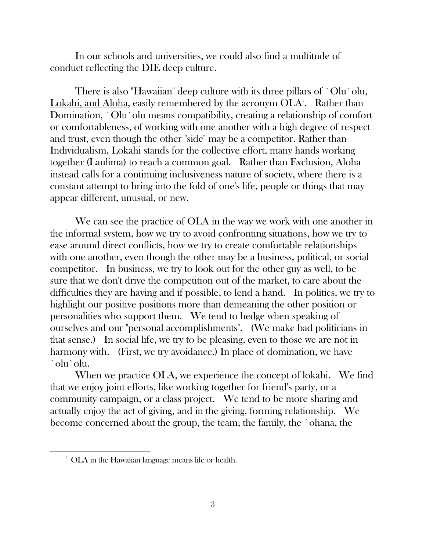In our schools and universities, we could also find a multitude of conduct reflecting the DIE deep culture.

There is also "Hawaiian" deep culture with its three pillars of `Olu`olu, Lokahi, and Aloha, easily remembered by the acronym OLA<sup>1</sup>. Rather than Domination, `Olu`olu means compatibility, creating a relationship of comfort or comfortableness, of working with one another with a high degree of respect and trust, even though the other "side" may be a competitor. Rather than Individualism, Lokahi stands for the collective effort, many hands working together (Laulima) to reach a common goal. Rather than Exclusion, Aloha instead calls for a continuing inclusiveness nature of society, where there is a constant attempt to bring into the fold of one's life, people or things that may appear different, unusual, or new.

We can see the practice of OLA in the way we work with one another in the informal system, how we try to avoid confronting situations, how we try to ease around direct conflicts, how we try to create comfortable relationships with one another, even though the other may be a business, political, or social competitor. In business, we try to look out for the other guy as well, to be sure that we don't drive the competition out of the market, to care about the difficulties they are having and if possible, to lend a hand. In politics, we try to highlight our positive positions more than demeaning the other position or personalities who support them. We tend to hedge when speaking of ourselves and our "personal accomplishments". (We make bad politicians in that sense.) In social life, we try to be pleasing, even to those we are not in harmony with. (First, we try avoidance.) In place of domination, we have `olu`olu.

When we practice OLA, we experience the concept of lokahi. We find that we enjoy joint efforts, like working together for friend's party, or a community campaign, or a class project. We tend to be more sharing and actually enjoy the act of giving, and in the giving, forming relationship. We become concerned about the group, the team, the family, the `ohana, the

<sup>&</sup>lt;sup>1</sup> OLA in the Hawaiian language means life or health.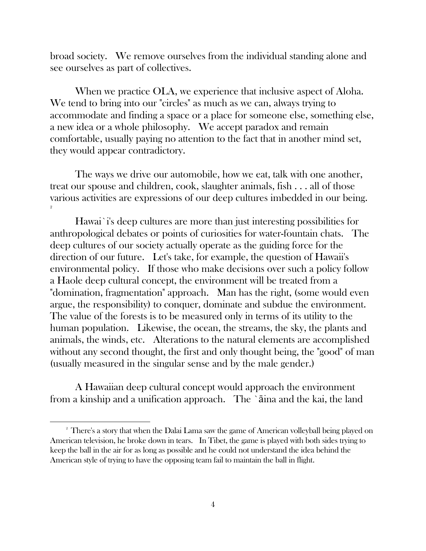broad society. We remove ourselves from the individual standing alone and see ourselves as part of collectives.

When we practice OLA, we experience that inclusive aspect of Aloha. We tend to bring into our "circles" as much as we can, always trying to accommodate and finding a space or a place for someone else, something else, a new idea or a whole philosophy. We accept paradox and remain comfortable, usually paying no attention to the fact that in another mind set, they would appear contradictory.

 The ways we drive our automobile, how we eat, talk with one another, treat our spouse and children, cook, slaughter animals, fish . . . all of those various activities are expressions of our deep cultures imbedded in our being.

 Hawai`i's deep cultures are more than just interesting possibilities for anthropological debates or points of curiosities for water-fountain chats. The deep cultures of our society actually operate as the guiding force for the direction of our future. Let's take, for example, the question of Hawaii's environmental policy. If those who make decisions over such a policy follow a Haole deep cultural concept, the environment will be treated from a "domination, fragmentation" approach. Man has the right, (some would even argue, the responsibility) to conquer, dominate and subdue the environment. The value of the forests is to be measured only in terms of its utility to the human population. Likewise, the ocean, the streams, the sky, the plants and animals, the winds, etc. Alterations to the natural elements are accomplished without any second thought, the first and only thought being, the "good" of man (usually measured in the singular sense and by the male gender.)

 A Hawaiian deep cultural concept would approach the environment from a kinship and a unification approach. The `āina and the kai, the land

 $2^{\circ}$  There's a story that when the Dalai Lama saw the game of American volleyball being played on American television, he broke down in tears. In Tibet, the game is played with both sides trying to keep the ball in the air for as long as possible and he could not understand the idea behind the American style of trying to have the opposing team fail to maintain the ball in flight.